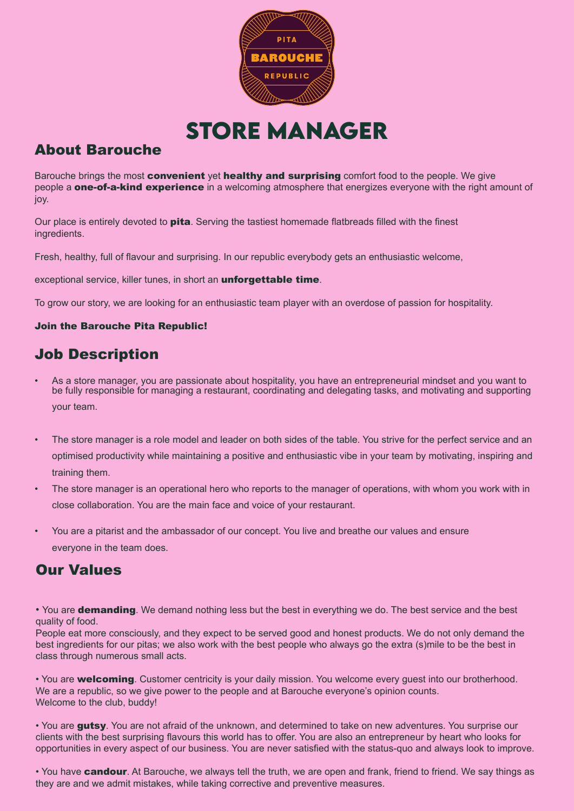

**Store Manager**

# About Barouche

Barouche brings the most **convenient** yet **healthy and surprising** comfort food to the people. We give people a **one-of-a-kind experience** in a welcoming atmosphere that energizes everyone with the right amount of joy.

Our place is entirely devoted to **pita**. Serving the tastiest homemade flatbreads filled with the finest ingredients.

Fresh, healthy, full of flavour and surprising. In our republic everybody gets an enthusiastic welcome,

exceptional service, killer tunes, in short an **unforgettable time**.

To grow our story, we are looking for an enthusiastic team player with an overdose of passion for hospitality.

#### Join the Barouche Pita Republic!

# Job Description

- As a store manager, you are passionate about hospitality, you have an entrepreneurial mindset and you want to be fully responsible for managing a restaurant, coordinating and delegating tasks, and motivating and supporting your team.
- The store manager is a role model and leader on both sides of the table. You strive for the perfect service and an optimised productivity while maintaining a positive and enthusiastic vibe in your team by motivating, inspiring and training them.
- The store manager is an operational hero who reports to the manager of operations, with whom you work with in close collaboration. You are the main face and voice of your restaurant.
- You are a pitarist and the ambassador of our concept. You live and breathe our values and ensure everyone in the team does.

## Our Values

• You are **demanding**. We demand nothing less but the best in everything we do. The best service and the best quality of food.

People eat more consciously, and they expect to be served good and honest products. We do not only demand the best ingredients for our pitas; we also work with the best people who always go the extra (s)mile to be the best in class through numerous small acts.

• You are **welcoming**. Customer centricity is your daily mission. You welcome every guest into our brotherhood. We are a republic, so we give power to the people and at Barouche everyone's opinion counts. Welcome to the club, buddy!

• You are **gutsy**. You are not afraid of the unknown, and determined to take on new adventures. You surprise our clients with the best surprising flavours this world has to offer. You are also an entrepreneur by heart who looks for opportunities in every aspect of our business. You are never satisfied with the status-quo and always look to improve.

• You have **candour**. At Barouche, we always tell the truth, we are open and frank, friend to friend. We say things as they are and we admit mistakes, while taking corrective and preventive measures.